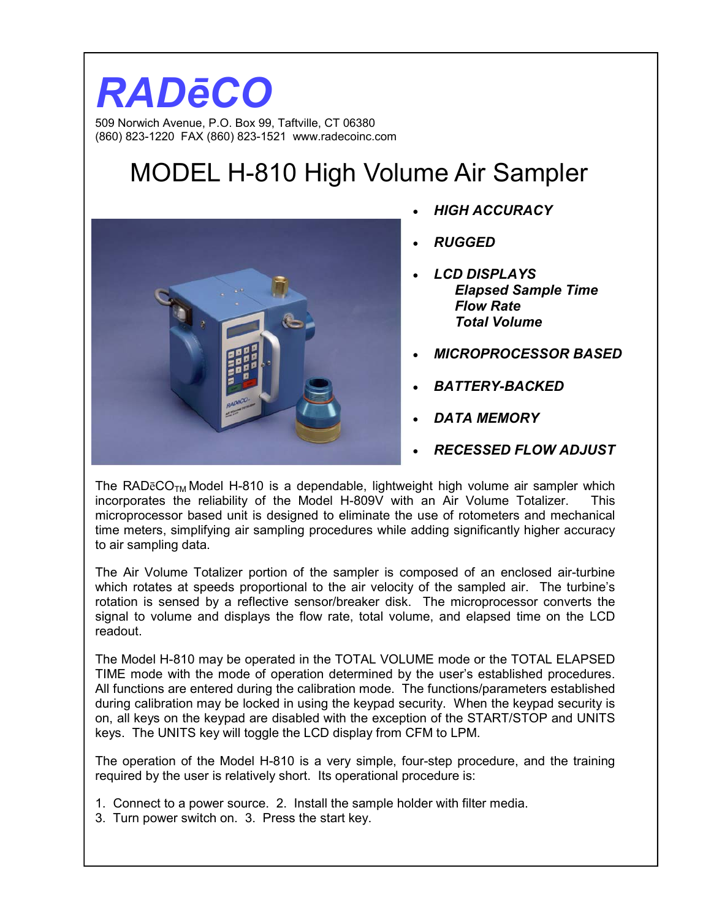### *RADēCO*  509 Norwich Avenue, P.O. Box 99, Taftville, CT 06380 (860) 823-1220 FAX (860) 823-1521 www.radecoinc.com

# MODEL H-810 High Volume Air Sampler



- *HIGH ACCURACY*
- *RUGGED*
- *LCD DISPLAYS Elapsed Sample Time Flow Rate Total Volume*
- *MICROPROCESSOR BASED*
- *BATTERY-BACKED*
- *DATA MEMORY*
- *RECESSED FLOW ADJUST*

The RAD $\bar{e}CO_{TM}$  Model H-810 is a dependable, lightweight high volume air sampler which incorporates the reliability of the Model H-809V with an Air Volume Totalizer. This microprocessor based unit is designed to eliminate the use of rotometers and mechanical time meters, simplifying air sampling procedures while adding significantly higher accuracy to air sampling data.

The Air Volume Totalizer portion of the sampler is composed of an enclosed air-turbine which rotates at speeds proportional to the air velocity of the sampled air. The turbine's rotation is sensed by a reflective sensor/breaker disk. The microprocessor converts the signal to volume and displays the flow rate, total volume, and elapsed time on the LCD readout.

The Model H-810 may be operated in the TOTAL VOLUME mode or the TOTAL ELAPSED TIME mode with the mode of operation determined by the user's established procedures. All functions are entered during the calibration mode. The functions/parameters established during calibration may be locked in using the keypad security. When the keypad security is on, all keys on the keypad are disabled with the exception of the START/STOP and UNITS keys. The UNITS key will toggle the LCD display from CFM to LPM.

The operation of the Model H-810 is a very simple, four-step procedure, and the training required by the user is relatively short. Its operational procedure is:

- 1. Connect to a power source. 2. Install the sample holder with filter media.
- 3. Turn power switch on. 3. Press the start key.